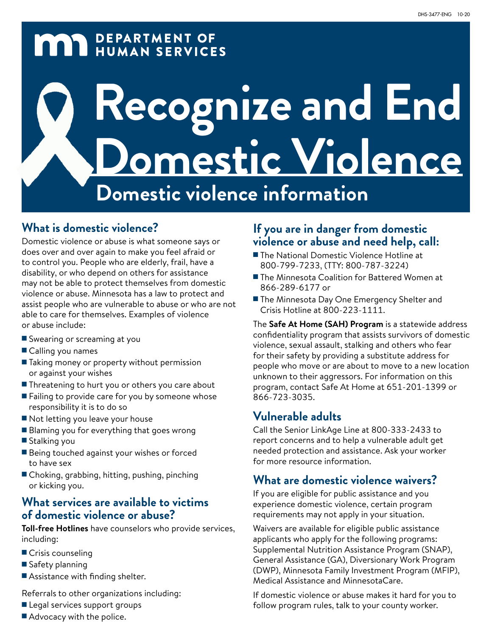# **MAY DEPARTMENT OF HUMAN SERVICES**

# **Recognize and End Domestic Violence Domestic violence information**

#### **What is domestic violence?**

Domestic violence or abuse is what someone says or does over and over again to make you feel afraid or to control you. People who are elderly, frail, have a disability, or who depend on others for assistance may not be able to protect themselves from domestic violence or abuse. Minnesota has a law to protect and assist people who are vulnerable to abuse or who are not able to care for themselves. Examples of violence or abuse include:

- Swearing or screaming at you
- Calling you names
- Taking money or property without permission or against your wishes
- Threatening to hurt you or others you care about
- Failing to provide care for you by someone whose responsibility it is to do so
- Not letting you leave your house
- Blaming you for everything that goes wrong
- Stalking you
- Being touched against your wishes or forced to have sex
- Choking, grabbing, hitting, pushing, pinching or kicking you.

#### **What services are available to victims of domestic violence or abuse?**

**Toll-free Hotlines** have counselors who provide services, including:

- Crisis counseling
- Safety planning
- Assistance with finding shelter.

Referrals to other organizations including:

- Legal services support groups
- Advocacy with the police.

#### **If you are in danger from domestic violence or abuse and need help, call:**

- The National Domestic Violence Hotline at 800-799-7233, (TTY: 800-787-3224)
- The Minnesota Coalition for Battered Women at 866-289-6177 or
- The Minnesota Day One Emergency Shelter and Crisis Hotline at 800-223-1111.

The **Safe At Home (SAH) Program** is a statewide address confidentiality program that assists survivors of domestic violence, sexual assault, stalking and others who fear for their safety by providing a substitute address for people who move or are about to move to a new location unknown to their aggressors. For information on this program, contact Safe At Home at 651-201-1399 or 866-723-3035.

#### **Vulnerable adults**

Call the Senior LinkAge Line at 800-333-2433 to report concerns and to help a vulnerable adult get needed protection and assistance. Ask your worker for more resource information.

#### **What are domestic violence waivers?**

If you are eligible for public assistance and you experience domestic violence, certain program requirements may not apply in your situation.

Waivers are available for eligible public assistance applicants who apply for the following programs: Supplemental Nutrition Assistance Program (SNAP), General Assistance (GA), Diversionary Work Program (DWP), Minnesota Family Investment Program (MFIP), Medical Assistance and MinnesotaCare.

If domestic violence or abuse makes it hard for you to follow program rules, talk to your county worker.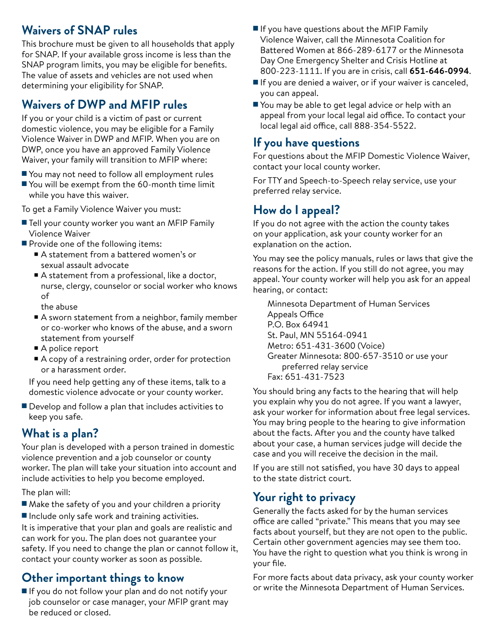#### **Waivers of SNAP rules**

This brochure must be given to all households that apply for SNAP. If your available gross income is less than the SNAP program limits, you may be eligible for benefits. The value of assets and vehicles are not used when determining your eligibility for SNAP.

#### **Waivers of DWP and MFIP rules**

If you or your child is a victim of past or current domestic violence, you may be eligible for a Family Violence Waiver in DWP and MFIP. When you are on DWP, once you have an approved Family Violence Waiver, your family will transition to MFIP where:

- You may not need to follow all employment rules
- You will be exempt from the 60-month time limit while you have this waiver.

To get a Family Violence Waiver you must:

- Tell your county worker you want an MFIP Family Violence Waiver
- Provide one of the following items:
	- A statement from a battered women's or sexual assault advocate
	- A statement from a professional, like a doctor, nurse, clergy, counselor or social worker who knows of

the abuse

- A sworn statement from a neighbor, family member or co-worker who knows of the abuse, and a sworn statement from yourself
- A police report
- A copy of a restraining order, order for protection or a harassment order.

If you need help getting any of these items, talk to a domestic violence advocate or your county worker.

■ Develop and follow a plan that includes activities to keep you safe.

#### **What is a plan?**

Your plan is developed with a person trained in domestic violence prevention and a job counselor or county worker. The plan will take your situation into account and include activities to help you become employed.

The plan will:

■ Make the safety of you and your children a priority ■ Include only safe work and training activities.

It is imperative that your plan and goals are realistic and can work for you. The plan does not guarantee your safety. If you need to change the plan or cannot follow it, contact your county worker as soon as possible.

#### **Other important things to know**

■ If you do not follow your plan and do not notify your job counselor or case manager, your MFIP grant may be reduced or closed.

- If you have questions about the MFIP Family Violence Waiver, call the Minnesota Coalition for Battered Women at 866-289-6177 or the Minnesota Day One Emergency Shelter and Crisis Hotline at 800-223-1111. If you are in crisis, call **651-646-0994**.
- If you are denied a waiver, or if your waiver is canceled, you can appeal.
- You may be able to get legal advice or help with an appeal from your local legal aid office. To contact your local legal aid office, call 888-354-5522.

#### **If you have questions**

For questions about the MFIP Domestic Violence Waiver, contact your local county worker.

For TTY and Speech-to-Speech relay service, use your preferred relay service.

#### **How do I appeal?**

If you do not agree with the action the county takes on your application, ask your county worker for an explanation on the action.

You may see the policy manuals, rules or laws that give the reasons for the action. If you still do not agree, you may appeal. Your county worker will help you ask for an appeal hearing, or contact:

Minnesota Department of Human Services Appeals Office P.O. Box 64941 St. Paul, MN 55164-0941 Metro: 651-431-3600 (Voice) Greater Minnesota: 800-657-3510 or use your preferred relay service Fax: 651-431-7523

You should bring any facts to the hearing that will help you explain why you do not agree. If you want a lawyer, ask your worker for information about free legal services. You may bring people to the hearing to give information about the facts. After you and the county have talked about your case, a human services judge will decide the case and you will receive the decision in the mail.

If you are still not satisfied, you have 30 days to appeal to the state district court.

#### **Your right to privacy**

Generally the facts asked for by the human services office are called "private." This means that you may see facts about yourself, but they are not open to the public. Certain other government agencies may see them too. You have the right to question what you think is wrong in your file.

For more facts about data privacy, ask your county worker or write the Minnesota Department of Human Services.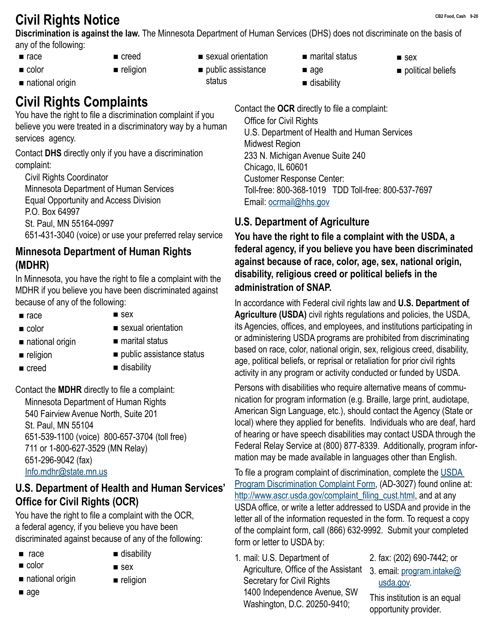## **CB2 Food, Cash 9-20 Civil Rights Notice**

**Discrimination is against the law.** The Minnesota Department of Human Services (DHS) does not discriminate on the basis of any of the following:

 $rac{e}{2}$ ■ color

■ national origin

- 
- creed ■ religion
- sexual orientation
- public assistance status
- marital status

age ■ disability

- **sex**
- political beliefs

### **Civil Rights Complaints**

You have the right to file a discrimination complaint if you believe you were treated in a discriminatory way by a human services agency.

Contact **DHS** directly only if you have a discrimination complaint:

Civil Rights Coordinator Minnesota Department of Human Services Equal Opportunity and Access Division P.O. Box 64997 St. Paul, MN 55164-0997 651-431-3040 (voice) or use your preferred relay service

#### **Minnesota Department of Human Rights (MDHR)**

In Minnesota, you have the right to file a complaint with the MDHR if you believe you have been discriminated against because of any of the following:

- $rac{e}{2}$
- color

 $\blacksquare$  religion creed

■ national origin

- $s$ ex
- sexual orientation
- marital status
- public assistance status
- disability

Contact the **MDHR** directly to file a complaint: Minnesota Department of Human Rights 540 Fairview Avenue North, Suite 201 St. Paul, MN 55104 651-539-1100 (voice) 800-657-3704 (toll free) 711 or 1-800-627-3529 (MN Relay) 651-296-9042 (fax) [Info.mdhr@state.mn.us](mailto:info.mdhr%40state.mn.us?subject=)

#### **U.S. Department of Health and Human Services' Office for Civil Rights (OCR)**

You have the right to file a complaint with the OCR, a federal agency, if you believe you have been discriminated against because of any of the following:

- $rac{a}{2}$
- color
- national origin
- age
- disability sex
- **religion**
- 
- 

Contact the **OCR** directly to file a complaint: Office for Civil Rights U.S. Department of Health and Human Services Midwest Region 233 N. Michigan Avenue Suite 240 Chicago, IL 60601 Customer Response Center: Toll-free: 800-368-1019 TDD Toll-free: 800-537-7697 Email: [ocrmail@hhs.gov](mailto:ocrmail%40hhs.gov?subject=)

#### **U.S. Department of Agriculture**

**You have the right to file a complaint with the USDA, a federal agency, if you believe you have been discriminated against because of race, color, age, sex, national origin, disability, religious creed or political beliefs in the administration of SNAP.**

In accordance with Federal civil rights law and **U.S. Department of Agriculture (USDA)** civil rights regulations and policies, the USDA, its Agencies, offices, and employees, and institutions participating in or administering USDA programs are prohibited from discriminating based on race, color, national origin, sex, religious creed, disability, age, political beliefs, or reprisal or retaliation for prior civil rights activity in any program or activity conducted or funded by USDA.

Persons with disabilities who require alternative means of communication for program information (e.g. Braille, large print, audiotape, American Sign Language, etc.), should contact the Agency (State or local) where they applied for benefits. Individuals who are deaf, hard of hearing or have speech disabilities may contact USDA through the Federal Relay Service at (800) 877-8339. Additionally, program information may be made available in languages other than English.

To file a program complaint of discrimination, complete the [USDA](https://www.usda.gov/sites/default/files/documents/USDA-OASCR%20P-Complaint-Form-0508-0002-508-11-28-17Fax2Mail.pdf)  [Program Discrimination Complaint Form](https://www.usda.gov/sites/default/files/documents/USDA-OASCR%20P-Complaint-Form-0508-0002-508-11-28-17Fax2Mail.pdf), (AD-3027) found online at: [http://www.ascr.usda.gov/complaint\\_filing\\_cust.html](https://www.usda.gov/oascr), and at any USDA office, or write a letter addressed to USDA and provide in the letter all of the information requested in the form. To request a copy of the complaint form, call (866) 632-9992. Submit your completed form or letter to USDA by:

- 1. mail: U.S. Department of Agriculture, Office of the Assistant Secretary for Civil Rights 1400 Independence Avenue, SW Washington, D.C. 20250-9410;
- 2. fax: (202) 690-7442; or
- 3. email: [program.intake@](mailto:program.intake%40usda.gov?subject=) [usda.gov.](mailto:program.intake%40usda.gov?subject=)

This institution is an equal opportunity provider.